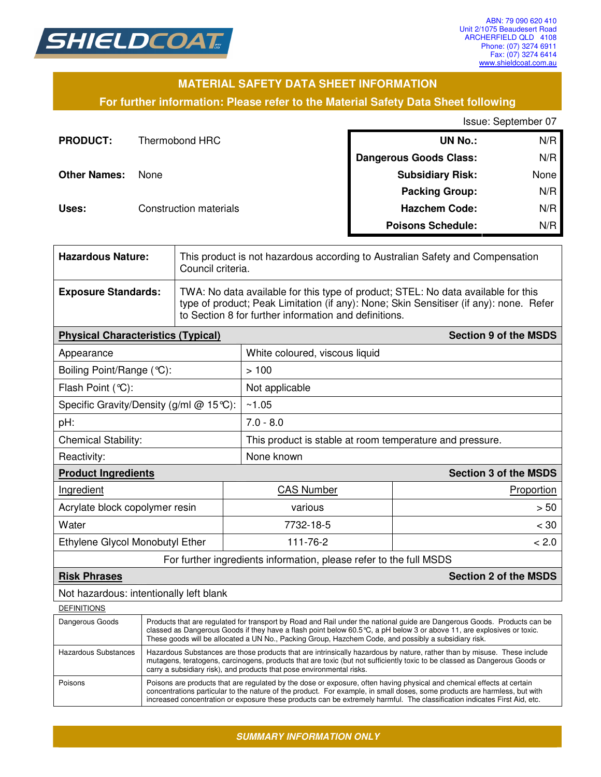

### **MATERIAL SAFETY DATA SHEET INFORMATION**

### **For further information: Please refer to the Material Safety Data Sheet following**

Issue: September 07

| <b>PRODUCT:</b>     | Thermobond HRC         | <b>UN No.:</b>                | N/R  |
|---------------------|------------------------|-------------------------------|------|
|                     |                        | <b>Dangerous Goods Class:</b> | N/R  |
| <b>Other Names:</b> | None                   | <b>Subsidiary Risk:</b>       | None |
|                     |                        | <b>Packing Group:</b>         | N/R  |
| Uses:               | Construction materials | <b>Hazchem Code:</b>          | N/R  |
|                     |                        | <b>Poisons Schedule:</b>      | N/R  |

| <b>Hazardous Nature:</b>                  |                                                                                                                                                                                                                                                                                                                                                             | This product is not hazardous according to Australian Safety and Compensation<br>Council criteria.                                                                                                                                   |                                                                    |                              |  |
|-------------------------------------------|-------------------------------------------------------------------------------------------------------------------------------------------------------------------------------------------------------------------------------------------------------------------------------------------------------------------------------------------------------------|--------------------------------------------------------------------------------------------------------------------------------------------------------------------------------------------------------------------------------------|--------------------------------------------------------------------|------------------------------|--|
| <b>Exposure Standards:</b>                |                                                                                                                                                                                                                                                                                                                                                             | TWA: No data available for this type of product; STEL: No data available for this<br>type of product; Peak Limitation (if any): None; Skin Sensitiser (if any): none. Refer<br>to Section 8 for further information and definitions. |                                                                    |                              |  |
| <b>Physical Characteristics (Typical)</b> |                                                                                                                                                                                                                                                                                                                                                             |                                                                                                                                                                                                                                      |                                                                    | <b>Section 9 of the MSDS</b> |  |
| Appearance                                |                                                                                                                                                                                                                                                                                                                                                             |                                                                                                                                                                                                                                      | White coloured, viscous liquid                                     |                              |  |
| Boiling Point/Range (°C):                 |                                                                                                                                                                                                                                                                                                                                                             |                                                                                                                                                                                                                                      | >100                                                               |                              |  |
| Flash Point (°C):                         |                                                                                                                                                                                                                                                                                                                                                             |                                                                                                                                                                                                                                      | Not applicable                                                     |                              |  |
| Specific Gravity/Density (g/ml $@$ 15°C): |                                                                                                                                                                                                                                                                                                                                                             |                                                                                                                                                                                                                                      | ~1.05                                                              |                              |  |
| pH:                                       |                                                                                                                                                                                                                                                                                                                                                             |                                                                                                                                                                                                                                      | $7.0 - 8.0$                                                        |                              |  |
| Chemical Stability:                       |                                                                                                                                                                                                                                                                                                                                                             |                                                                                                                                                                                                                                      | This product is stable at room temperature and pressure.           |                              |  |
| Reactivity:                               |                                                                                                                                                                                                                                                                                                                                                             |                                                                                                                                                                                                                                      | None known                                                         |                              |  |
| <b>Product Ingredients</b>                |                                                                                                                                                                                                                                                                                                                                                             |                                                                                                                                                                                                                                      | <b>Section 3 of the MSDS</b>                                       |                              |  |
| Ingredient                                |                                                                                                                                                                                                                                                                                                                                                             | <b>CAS Number</b>                                                                                                                                                                                                                    | Proportion                                                         |                              |  |
| Acrylate block copolymer resin            |                                                                                                                                                                                                                                                                                                                                                             | various                                                                                                                                                                                                                              |                                                                    | > 50                         |  |
| Water                                     |                                                                                                                                                                                                                                                                                                                                                             | 7732-18-5                                                                                                                                                                                                                            |                                                                    | < 30                         |  |
| Ethylene Glycol Monobutyl Ether           |                                                                                                                                                                                                                                                                                                                                                             | 111-76-2                                                                                                                                                                                                                             |                                                                    | < 2.0                        |  |
|                                           |                                                                                                                                                                                                                                                                                                                                                             |                                                                                                                                                                                                                                      | For further ingredients information, please refer to the full MSDS |                              |  |
| <b>Risk Phrases</b>                       |                                                                                                                                                                                                                                                                                                                                                             |                                                                                                                                                                                                                                      |                                                                    | <b>Section 2 of the MSDS</b> |  |
| Not hazardous: intentionally left blank   |                                                                                                                                                                                                                                                                                                                                                             |                                                                                                                                                                                                                                      |                                                                    |                              |  |
| <b>DEFINITIONS</b>                        |                                                                                                                                                                                                                                                                                                                                                             |                                                                                                                                                                                                                                      |                                                                    |                              |  |
| Dangerous Goods                           | Products that are regulated for transport by Road and Rail under the national guide are Dangerous Goods. Products can be<br>classed as Dangerous Goods if they have a flash point below 60.5 °C, a pH below 3 or above 11, are explosives or toxic.<br>These goods will be allocated a UN No., Packing Group, Hazchem Code, and possibly a subsidiary risk. |                                                                                                                                                                                                                                      |                                                                    |                              |  |
| <b>Hazardous Substances</b>               | Hazardous Substances are those products that are intrinsically hazardous by nature, rather than by misuse. These include<br>mutagens, teratogens, carcinogens, products that are toxic (but not sufficiently toxic to be classed as Dangerous Goods or<br>carry a subsidiary risk), and products that pose environmental risks.                             |                                                                                                                                                                                                                                      |                                                                    |                              |  |
| Poisons                                   | Poisons are products that are regulated by the dose or exposure, often having physical and chemical effects at certain<br>concentrations particular to the nature of the product. For example, in small doses, some products are harmless, but with                                                                                                         |                                                                                                                                                                                                                                      |                                                                    |                              |  |

increased concentration or exposure these products can be extremely harmful. The classification indicates First Aid, etc.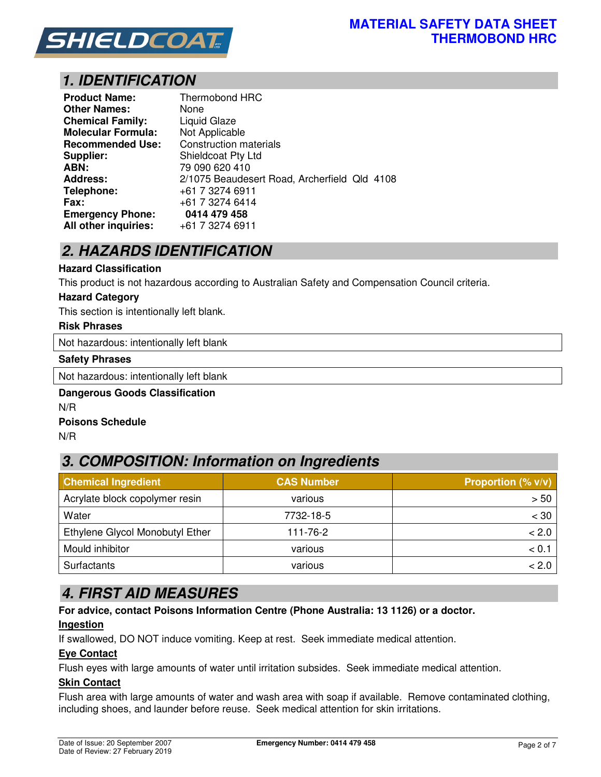

## *1. IDENTIFICATION*

| <b>Product Name:</b>      | Thermobond HRC                               |
|---------------------------|----------------------------------------------|
| Other Names:              | None                                         |
| <b>Chemical Family:</b>   | <b>Liquid Glaze</b>                          |
| <b>Molecular Formula:</b> | Not Applicable                               |
| <b>Recommended Use:</b>   | <b>Construction materials</b>                |
| <b>Supplier:</b>          | <b>Shieldcoat Pty Ltd</b>                    |
| ABN:                      | 79 090 620 410                               |
| <b>Address:</b>           | 2/1075 Beaudesert Road, Archerfield Qld 4108 |
| Telephone:                | +61 7 3274 6911                              |
| Fax:                      | +61 7 3274 6414                              |
| <b>Emergency Phone:</b>   | 0414 479 458                                 |
| All other inquiries:      | +61 7 3274 6911                              |

## *2. HAZARDS IDENTIFICATION*

#### **Hazard Classification**

This product is not hazardous according to Australian Safety and Compensation Council criteria.

#### **Hazard Category**

This section is intentionally left blank.

### **Risk Phrases**

Not hazardous: intentionally left blank

#### **Safety Phrases**

Not hazardous: intentionally left blank

### **Dangerous Goods Classification**  N/R **Poisons Schedule**

N/R

# *3. COMPOSITION: Information on Ingredients*

| <b>Chemical Ingredient</b>      | <b>CAS Number</b> | <b>Proportion (% v/v)</b> |  |
|---------------------------------|-------------------|---------------------------|--|
| Acrylate block copolymer resin  | various           | > 50                      |  |
| Water                           | 7732-18-5         | $<$ 30                    |  |
| Ethylene Glycol Monobutyl Ether | 111-76-2          | < 2.0                     |  |
| Mould inhibitor                 | various           | < 0.1                     |  |
| Surfactants                     | various           | < 2.0                     |  |

## *4. FIRST AID MEASURES*

**For advice, contact Poisons Information Centre (Phone Australia: 13 1126) or a doctor.** 

### **Ingestion**

If swallowed, DO NOT induce vomiting. Keep at rest. Seek immediate medical attention.

### **Eye Contact**

Flush eyes with large amounts of water until irritation subsides. Seek immediate medical attention.

### **Skin Contact**

Flush area with large amounts of water and wash area with soap if available. Remove contaminated clothing, including shoes, and launder before reuse. Seek medical attention for skin irritations.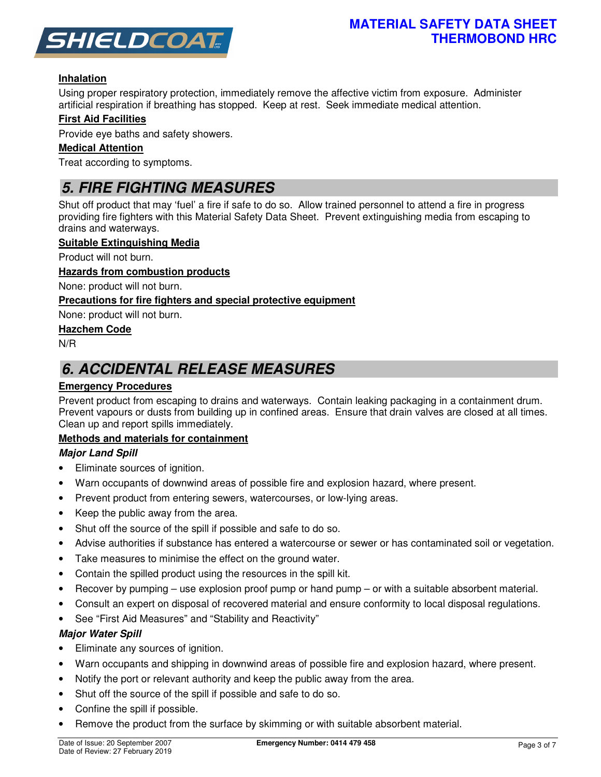

### **Inhalation**

Using proper respiratory protection, immediately remove the affective victim from exposure. Administer artificial respiration if breathing has stopped. Keep at rest. Seek immediate medical attention.

### **First Aid Facilities**

Provide eye baths and safety showers.

### **Medical Attention**

Treat according to symptoms.

## *5. FIRE FIGHTING MEASURES*

Shut off product that may 'fuel' a fire if safe to do so. Allow trained personnel to attend a fire in progress providing fire fighters with this Material Safety Data Sheet. Prevent extinguishing media from escaping to drains and waterways.

### **Suitable Extinguishing Media**

Product will not burn.

### **Hazards from combustion products**

None: product will not burn.

### **Precautions for fire fighters and special protective equipment**

None: product will not burn.

### **Hazchem Code**

N/R

## *6. ACCIDENTAL RELEASE MEASURES*

### **Emergency Procedures**

Prevent product from escaping to drains and waterways. Contain leaking packaging in a containment drum. Prevent vapours or dusts from building up in confined areas. Ensure that drain valves are closed at all times. Clean up and report spills immediately.

### **Methods and materials for containment**

### *Major Land Spill*

- Eliminate sources of ignition.
- Warn occupants of downwind areas of possible fire and explosion hazard, where present.
- Prevent product from entering sewers, watercourses, or low-lying areas.
- Keep the public away from the area.
- Shut off the source of the spill if possible and safe to do so.
- Advise authorities if substance has entered a watercourse or sewer or has contaminated soil or vegetation.
- Take measures to minimise the effect on the ground water.
- Contain the spilled product using the resources in the spill kit.
- Recover by pumping use explosion proof pump or hand pump or with a suitable absorbent material.
- Consult an expert on disposal of recovered material and ensure conformity to local disposal regulations.
- See "First Aid Measures" and "Stability and Reactivity"

### *Major Water Spill*

- Eliminate any sources of ignition.
- Warn occupants and shipping in downwind areas of possible fire and explosion hazard, where present.
- Notify the port or relevant authority and keep the public away from the area.
- Shut off the source of the spill if possible and safe to do so.
- Confine the spill if possible.
- Remove the product from the surface by skimming or with suitable absorbent material.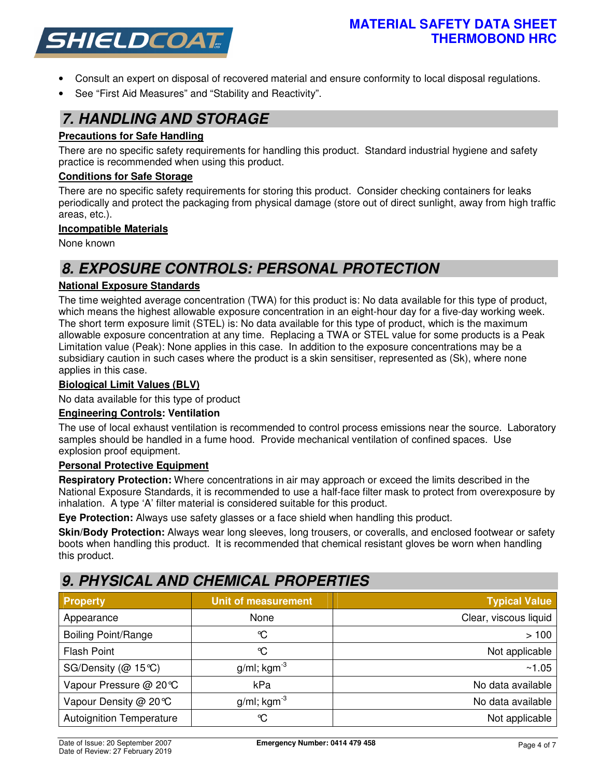

- Consult an expert on disposal of recovered material and ensure conformity to local disposal regulations.
- See "First Aid Measures" and "Stability and Reactivity".

### *7. HANDLING AND STORAGE*

### **Precautions for Safe Handling**

There are no specific safety requirements for handling this product. Standard industrial hygiene and safety practice is recommended when using this product.

### **Conditions for Safe Storage**

There are no specific safety requirements for storing this product. Consider checking containers for leaks periodically and protect the packaging from physical damage (store out of direct sunlight, away from high traffic areas, etc.).

### **Incompatible Materials**

None known

## *8. EXPOSURE CONTROLS: PERSONAL PROTECTION*

### **National Exposure Standards**

The time weighted average concentration (TWA) for this product is: No data available for this type of product, which means the highest allowable exposure concentration in an eight-hour day for a five-day working week. The short term exposure limit (STEL) is: No data available for this type of product, which is the maximum allowable exposure concentration at any time. Replacing a TWA or STEL value for some products is a Peak Limitation value (Peak): None applies in this case. In addition to the exposure concentrations may be a subsidiary caution in such cases where the product is a skin sensitiser, represented as (Sk), where none applies in this case.

### **Biological Limit Values (BLV)**

No data available for this type of product

### **Engineering Controls: Ventilation**

The use of local exhaust ventilation is recommended to control process emissions near the source. Laboratory samples should be handled in a fume hood. Provide mechanical ventilation of confined spaces. Use explosion proof equipment.

### **Personal Protective Equipment**

**Respiratory Protection:** Where concentrations in air may approach or exceed the limits described in the National Exposure Standards, it is recommended to use a half-face filter mask to protect from overexposure by inhalation. A type 'A' filter material is considered suitable for this product.

**Eye Protection:** Always use safety glasses or a face shield when handling this product.

**Skin/Body Protection:** Always wear long sleeves, long trousers, or coveralls, and enclosed footwear or safety boots when handling this product. It is recommended that chemical resistant gloves be worn when handling this product.

## *9. PHYSICAL AND CHEMICAL PROPERTIES*

| <b>Property</b>                 | <b>Unit of measurement</b> | Typical Value         |
|---------------------------------|----------------------------|-----------------------|
| Appearance                      | None                       | Clear, viscous liquid |
| <b>Boiling Point/Range</b>      | °C                         | >100                  |
| <b>Flash Point</b>              | ℃                          | Not applicable        |
| SG/Density ( $@$ 15°C)          | $g/ml$ ; kgm <sup>-3</sup> | ~1.05                 |
| Vapour Pressure @ 20℃           | kPa                        | No data available     |
| Vapour Density @ 20℃            | g/ml; $kgm^{-3}$           | No data available     |
| <b>Autoignition Temperature</b> | ℃                          | Not applicable        |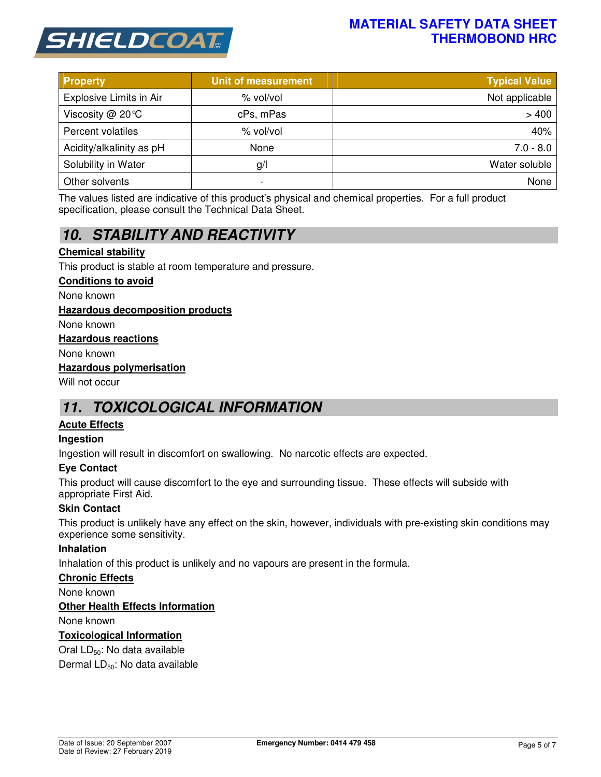

### **MATERIAL SAFETY DATA SHEET THERMOBOND HRC**

| <b>Property</b>          | <b>Unit of measurement</b> | <b>Typical Value</b> |
|--------------------------|----------------------------|----------------------|
| Explosive Limits in Air  | % vol/vol                  | Not applicable       |
| Viscosity $@$ 20 °C      | cPs, mPas                  | >400                 |
| Percent volatiles        | % vol/vol                  | 40%                  |
| Acidity/alkalinity as pH | None                       | $7.0 - 8.0$          |
| Solubility in Water      | g/                         | Water soluble        |
| Other solvents           | $\overline{\phantom{0}}$   | None                 |

The values listed are indicative of this product's physical and chemical properties. For a full product specification, please consult the Technical Data Sheet.

# *10. STABILITY AND REACTIVITY*

### **Chemical stability**

This product is stable at room temperature and pressure.

#### **Conditions to avoid**

None known

### **Hazardous decomposition products**

None known

#### **Hazardous reactions**

None known

#### **Hazardous polymerisation**

Will not occur

## *11. TOXICOLOGICAL INFORMATION*

### **Acute Effects**

### **Ingestion**

Ingestion will result in discomfort on swallowing. No narcotic effects are expected.

### **Eye Contact**

This product will cause discomfort to the eye and surrounding tissue. These effects will subside with appropriate First Aid.

### **Skin Contact**

This product is unlikely have any effect on the skin, however, individuals with pre-existing skin conditions may experience some sensitivity.

### **Inhalation**

Inhalation of this product is unlikely and no vapours are present in the formula.

### **Chronic Effects**

None known

### **Other Health Effects Information**

None known

### **Toxicological Information**

Oral LD<sub>50</sub>: No data available

Dermal LD<sub>50</sub>: No data available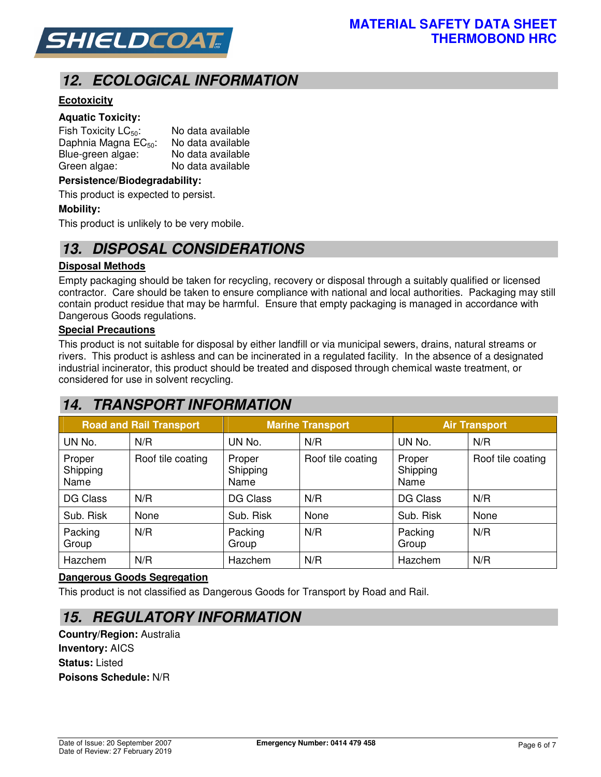

# *12. ECOLOGICAL INFORMATION*

### **Ecotoxicity**

### **Aquatic Toxicity:**

| Fish Toxicity $LC_{50}$ :        | No data available |
|----------------------------------|-------------------|
| Daphnia Magna EC <sub>50</sub> : | No data available |
| Blue-green algae:                | No data available |
| Green algae:                     | No data available |

#### **Persistence/Biodegradability:**

This product is expected to persist.

#### **Mobility:**

This product is unlikely to be very mobile.

### *13. DISPOSAL CONSIDERATIONS*

#### **Disposal Methods**

Empty packaging should be taken for recycling, recovery or disposal through a suitably qualified or licensed contractor. Care should be taken to ensure compliance with national and local authorities. Packaging may still contain product residue that may be harmful. Ensure that empty packaging is managed in accordance with Dangerous Goods regulations.

### **Special Precautions**

This product is not suitable for disposal by either landfill or via municipal sewers, drains, natural streams or rivers. This product is ashless and can be incinerated in a regulated facility. In the absence of a designated industrial incinerator, this product should be treated and disposed through chemical waste treatment, or considered for use in solvent recycling.

## *14. TRANSPORT INFORMATION*

| <b>Road and Rail Transport</b> |                   | <b>Marine Transport</b>    |                   | <b>Air Transport</b>       |                   |
|--------------------------------|-------------------|----------------------------|-------------------|----------------------------|-------------------|
| UN No.                         | N/R               | UN No.                     | N/R               | UN No.                     | N/R               |
| Proper<br>Shipping<br>Name     | Roof tile coating | Proper<br>Shipping<br>Name | Roof tile coating | Proper<br>Shipping<br>Name | Roof tile coating |
| DG Class                       | N/R               | DG Class                   | N/R               | DG Class                   | N/R               |
| Sub. Risk                      | None              | Sub. Risk                  | None              | Sub. Risk                  | None              |
| Packing<br>Group               | N/R               | Packing<br>Group           | N/R               | Packing<br>Group           | N/R               |
| Hazchem                        | N/R               | Hazchem                    | N/R               | Hazchem                    | N/R               |

#### **Dangerous Goods Segregation**

This product is not classified as Dangerous Goods for Transport by Road and Rail.

### *15. REGULATORY INFORMATION*

**Country/Region:** Australia **Inventory:** AICS **Status:** Listed **Poisons Schedule:** N/R